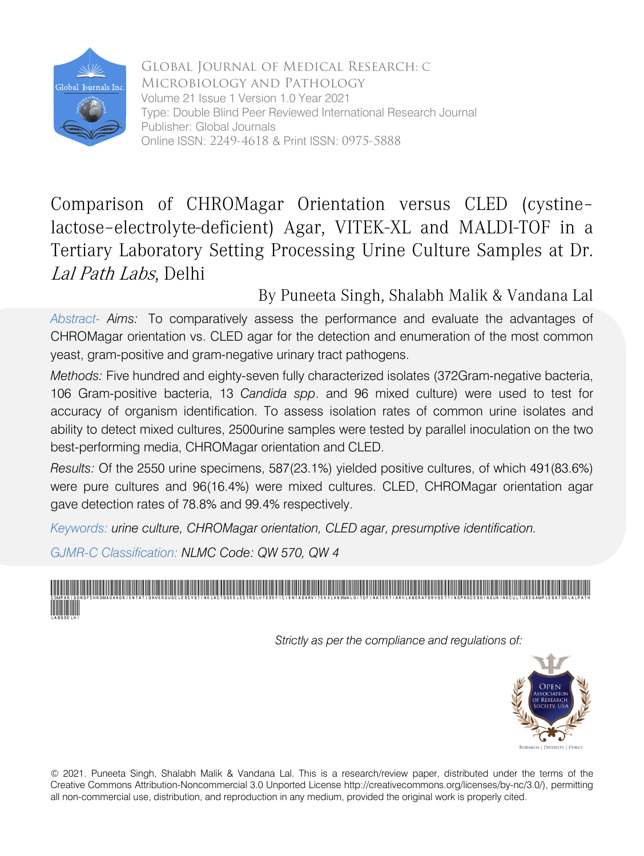

Global Journal of Medical Research: C Microbiology and Pathology Volume 21 Issue 1 Version 1.0 Year 2021 Type: Double Blind Peer Reviewed International Research Journal Publisher: Global Journals Online ISSN: 2249-4618 & Print ISSN: 0975-5888

# Comparison of CHROMagar Orientation versus CLED (cystine– lactose–electrolyte-deficient) Agar, VITEK-XL and MALDI-TOF in a Tertiary Laboratory Setting Processing Urine Culture Samples at Dr. Lal Path Labs, Delhi<br>By Puneeta Singh, Shalabh Malik & Vandana Lal

*Abstract- Aims:* To comparatively assess the performance and evaluate the advantages of CHROMagar orientation vs. CLED agar for the detection and enumeration of the most common yeast, gram-positive and gram-negative urinary tract pathogens.

*Methods:* Five hundred and eighty-seven fully characterized isolates (372Gram-negative bacteria, 106 Gram-positive bacteria, 13 *Candida spp*. and 96 mixed culture) were used to test for accuracy of organism identification. To assess isolation rates of common urine isolates and ability to detect mixed cultures, 2500urine samples were tested by parallel inoculation on the two best-performing media, CHROMagar orientation and CLED.

*Results:* Of the 2550 urine specimens, 587(23.1%) yielded positive cultures, of which 491(83.6%) were pure cultures and 96(16.4%) were mixed cultures. CLED, CHROMagar orientation agar gave detection rates of 78.8% and 99.4% respectively.

*Keywords: urine culture, CHROMagar orientation, CLED agar, presumptive identification.* 

*GJMR-C Classification: NLMC Code: QW 570, QW 4*

.<br>ComparisonofChromagarorientationversusCleDcystinelactoseelectrolytedeficientAgarVITEKXLANdMALDITOFinaTertiaryLaboratoryCettingProcessingUrineCultureSamplesatDrLalPath LabsDelhi

 *Strictly as per the compliance and regulations of:* 



© 2021. Puneeta Singh, Shalabh Malik & Vandana Lal. This is a research/review paper, distributed under the terms of the Creative Commons Attribution-Noncommercial 3.0 Unported License http://creativecommons.org/licenses/by-nc/3.0/), permitting all non-commercial use, distribution, and reproduction in any medium, provided the original work is properly cited.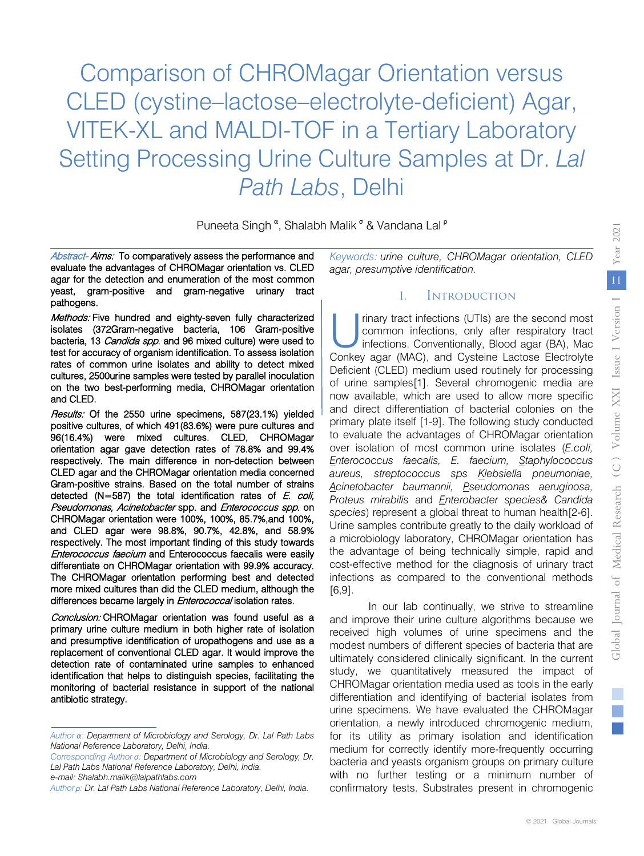Comparison of CHROMagar Orientation versus CLED (cystine–lactose–electrolyte-deficient) Agar, VITEK-XL and MALDI-TOF in a Tertiary Laboratory Setting Processing Urine Culture Samples at Dr. *Lal Path Labs*, Delhi

Puneeta Singh <sup>α</sup>, Shalabh Malik <sup>σ</sup> & Vandana Lal <sup>ρ</sup>

Abstract- Aims: To comparatively assess the performance and evaluate the advantages of CHROMagar orientation vs. CLED agar for the detection and enumeration of the most common yeast, gram-positive and gram-negative urinary tract pathogens.

Methods: Five hundred and eighty-seven fully characterized isolates (372Gram-negative bacteria, 106 Gram-positive bacteria, 13 Candida spp. and 96 mixed culture) were used to test for accuracy of organism identification. To assess isolation rates of common urine isolates and ability to detect mixed cultures, 2500urine samples were tested by parallel inoculation on the two best-performing media, CHROMagar orientation and CLED.

Results: Of the 2550 urine specimens, 587(23.1%) yielded orientation agar gave detection rates of 78.8% and 99.4% CLED agar and the CHROMagar orientation media concerned Gram-positive strains. Based on the total number of strains detected (N=587) the total identification rates of E. coli, Pseudomonas, Acinetobacter spp. and Enterococcus spp. on CHROMagar orientation were 100%, 100%, 85.7%,and 100%, respectively. The most important finding of this study towards Enterococcus faecium and Enterococcus faecalis were easily The CHROMagar orientation performing best and detected positive cultures, of which 491(83.6%) were pure cultures and 96(16.4%) were mixed cultures. CLED, CHROMagar respectively. The main difference in non-detection between and CLED agar were 98.8%, 90.7%, 42.8%, and 58.9% differentiate on CHROMagar orientation with 99.9% accuracy. more mixed cultures than did the CLED medium, although the differences became largely in *Enterococcal* isolation rates.

Conclusion: CHROMagar orientation was found useful as a primary urine culture medium in both higher rate of isolation and presumptive identification of uropathogens and use as a replacement of conventional CLED agar. It would improve the detection rate of contaminated urine samples to enhanced identification that helps to distinguish species, facilitating the monitoring of bacterial resistance in support of the national antibiotic strategy.

*Corresponding Author σ: Department of Microbiology and Serology, Dr. Lal Path Labs National Reference Laboratory, Delhi, India.* 

*Author <sup>ρ</sup>: Dr. Lal Path Labs National Reference Laboratory, Delhi, India.*

*Keywords: urine culture, CHROMagar orientation, CLED agar, presumptive identification.* 

#### I. Introduction

rinary tract infections (UTIs) are the second most common infections, only after respiratory tract infections. Conventionally, Blood agar (BA), Mac rinary tract infections (UTIs) are the second most<br>common infections, only after respiratory tract<br>infections. Conventionally, Blood agar (BA), Mac<br>Conkey agar (MAC), and Cysteine Lactose Electrolyte Deficient (CLED) medium used routinely for processing of urine samples[1]. Several chromogenic media are now available, which are used to allow more specific and direct differentiation of bacterial colonies on the primary plate itself [1-9]. The following study conducted to evaluate the advantages of CHROMagar orientation over isolation of most common urine isolates (*E.coli, Enterococcus faecalis, E. faecium, Staphylococcus aureus, streptococcus sps Klebsiella pneumoniae, Acinetobacter baumannii, Pseudomonas aeruginosa, Proteus mirabilis* and *Enterobacter species& Candida species*) represent a global threat to human health[2-6]. Urine samples contribute greatly to the daily workload of a microbiology laboratory, CHROMagar orientation has the advantage of being technically simple, rapid and cost-effective method for the diagnosis of urinary tract infections as compared to the conventional methods [6,9].

In our lab continually, we strive to streamline and improve their urine culture algorithms because we received high volumes of urine specimens and the modest numbers of different species of bacteria that are ultimately considered clinically significant. In the current study, we quantitatively measured the impact of CHROMagar orientation media used as tools in the early differentiation and identifying of bacterial isolates from urine specimens. We have evaluated the CHROMagar orientation, a newly introduced chromogenic medium, for its utility as primary isolation and identification medium for correctly identify more-frequently occurring bacteria and yeasts organism groups on primary culture with no further testing or a minimum number of confirmatory tests. Substrates present in chromogenic

*Author α: Department of Microbiology and Serology, Dr. Lal Path Labs National Reference Laboratory, Delhi, India.* 

*e-mail: Shalabh.malik@lalpathlabs.com*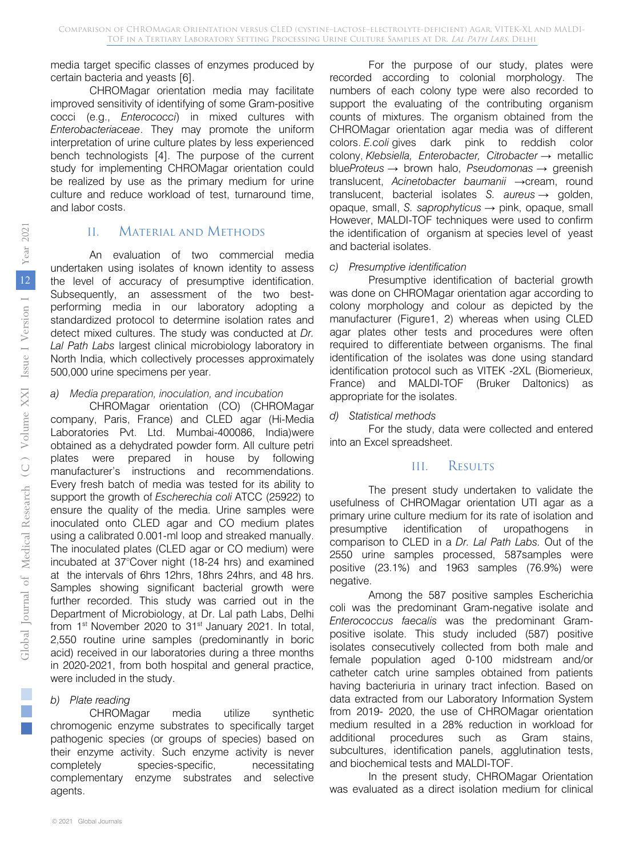media target specific classes of enzymes produced by certain bacteria and yeasts [6].

CHROMagar orientation media may facilitate improved sensitivity of identifying of some Gram-positive cocci (e.g., *Enterococci*) in mixed cultures with *Enterobacteriaceae*. They may promote the uniform interpretation of urine culture plates by less experienced bench technologists [4]. The purpose of the current study for implementing CHROMagar orientation could be realized by use as the primary medium for urine culture and reduce workload of test, turnaround time, and labor costs.

# II. Material and Methods

An evaluation of two commercial media undertaken using isolates of known identity to assess the level of accuracy of presumptive identification. Subsequently, an assessment of the two bestperforming media in our laboratory adopting a standardized protocol to determine isolation rates and detect mixed cultures. The study was conducted at *Dr. Lal Path Labs* largest clinical microbiology laboratory in North India, which collectively processes approximately 500,000 urine specimens per year.

#### *a) Media preparation, inoculation, and incubation*

CHROMagar orientation (CO) (CHROMagar company, Paris, France) and CLED agar (Hi-Media Laboratories Pvt. Ltd. Mumbai-400086, India)were obtained as a dehydrated powder form. All culture petri plates were prepared in house by following manufacturer's instructions and recommendations. Every fresh batch of media was tested for its ability to support the growth of *Escherechia coli* ATCC (25922) to ensure the quality of the media. Urine samples were inoculated onto CLED agar and CO medium plates using a calibrated 0.001-ml loop and streaked manually. The inoculated plates (CLED agar or CO medium) were incubated at 37°Cover night (18-24 hrs) and examined at the intervals of 6hrs 12hrs, 18hrs 24hrs, and 48 hrs. Samples showing significant bacterial growth were further recorded. This study was carried out in the Department of Microbiology, at Dr. Lal path Labs, Delhi from  $1<sup>st</sup>$  November 2020 to  $31<sup>st</sup>$  January 2021. In total, 2,550 routine urine samples (predominantly in boric acid) received in our laboratories during a three months in 2020-2021, from both hospital and general practice, were included in the study.

#### *b) Plate reading*

CHROMagar media utilize synthetic chromogenic enzyme substrates to specifically target pathogenic species (or groups of species) based on their enzyme activity. Such enzyme activity is never completely species-specific, necessitating complementary enzyme substrates and selective agents.

For the purpose of our study, plates were recorded according to colonial morphology. The numbers of each colony type were also recorded to support the evaluating of the contributing organism counts of mixtures. The organism obtained from the CHROMagar orientation agar media was of different colors. *E.coli* gives dark pink to reddish color colony, *Klebsiella, Enterobacter, Citrobacter* → metallic blue*Proteus* → brown halo, *Pseudomonas* → greenish translucent, *Acinetobacter baumanii* →cream, round translucent, bacterial isolates *S. aureus* → golden, opaque, small, *S. saprophyticus* → pink, opaque, small However, MALDI-TOF techniques were used to confirm the identification of organism at species level of yeast and bacterial isolates.

#### *c) Presumptive identification*

Presumptive identification of bacterial growth was done on CHROMagar orientation agar according to colony morphology and colour as depicted by the manufacturer (Figure1, 2) whereas when using CLED agar plates other tests and procedures were often required to differentiate between organisms. The final identification of the isolates was done using standard identification protocol such as VITEK -2XL (Biomerieux, France) and MALDI-TOF (Bruker Daltonics) as appropriate for the isolates.

#### *d) Statistical methods*

For the study, data were collected and entered into an Excel spreadsheet.

# III. Results

The present study undertaken to validate the usefulness of CHROMagar orientation UTI agar as a primary urine culture medium for its rate of isolation and presumptive identification of uropathogens in comparison to CLED in a *Dr. Lal Path Labs.* Out of the 2550 urine samples processed, 587samples were positive (23.1%) and 1963 samples (76.9%) were negative.

Among the 587 positive samples Escherichia coli was the predominant Gram-negative isolate and *Enterococcus faecalis* was the predominant Grampositive isolate. This study included (587) positive isolates consecutively collected from both male and female population aged 0-100 midstream and/or catheter catch urine samples obtained from patients having bacteriuria in urinary tract infection. Based on data extracted from our Laboratory Information System from 2019- 2020, the use of CHROMagar orientation medium resulted in a 28% reduction in workload for additional procedures such as Gram stains, subcultures, identification panels, agglutination tests, and biochemical tests and MALDI-TOF.

In the present study, CHROMagar Orientation was evaluated as a direct isolation medium for clinical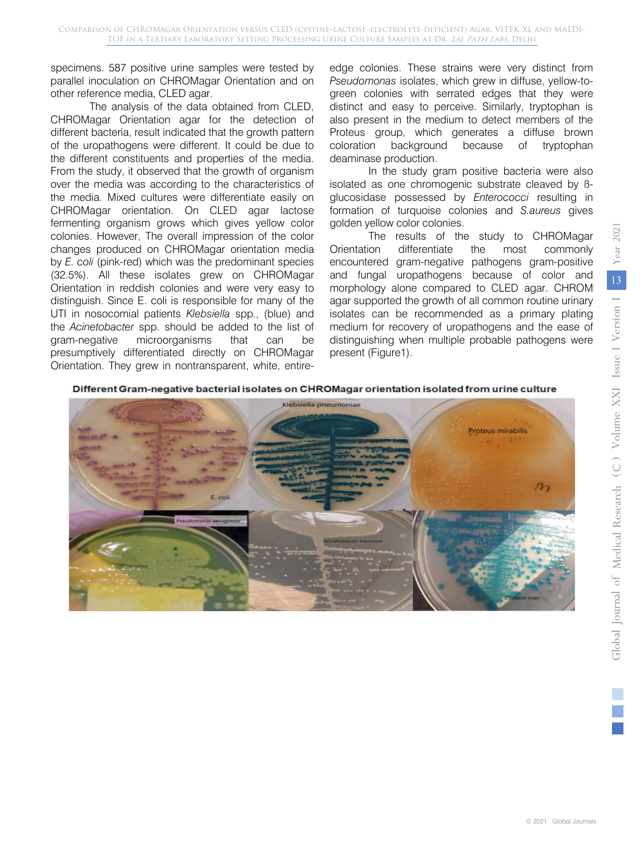specimens. 587 positive urine samples were tested by parallel inoculation on CHROMagar Orientation and on other reference media, CLED agar.

The analysis of the data obtained from CLED, CHROMagar Orientation agar for the detection of different bacteria, result indicated that the growth pattern of the uropathogens were different. It could be due to the different constituents and properties of the media. From the study, it observed that the growth of organism over the media was according to the characteristics of the media. Mixed cultures were differentiate easily on CHROMagar orientation. On CLED agar lactose fermenting organism grows which gives yellow color colonies. However, The overall impression of the color changes produced on CHROMagar orientation media by *E. coli* (pink-red) which was the predominant species (32.5%). All these isolates grew on CHROMagar Orientation in reddish colonies and were very easy to distinguish. Since E. coli is responsible for many of the UTI in nosocomial patients *Klebsiella* spp., (blue) and the *Acinetobacter* spp. should be added to the list of gram-negative microorganisms that can be presumptively differentiated directly on CHROMagar Orientation. They grew in nontransparent, white, entireedge colonies. These strains were very distinct from *Pseudomonas* isolates, which grew in diffuse, yellow-togreen colonies with serrated edges that they were distinct and easy to perceive. Similarly, tryptophan is also present in the medium to detect members of the Proteus group, which generates a diffuse brown coloration background because of tryptophan deaminase production.

In the study gram positive bacteria were also isolated as one chromogenic substrate cleaved by ßglucosidase possessed by *Enterococci* resulting in formation of turquoise colonies and *S.aureus* gives golden yellow color colonies.

The results of the study to CHROMagar Orientation differentiate the most commonly encountered gram-negative pathogens gram-positive and fungal uropathogens because of color and morphology alone compared to CLED agar. CHROM agar supported the growth of all common routine urinary isolates can be recommended as a primary plating medium for recovery of uropathogens and the ease of distinguishing when multiple probable pathogens were present (Figure1).

### Different Gram-negative bacterial isolates on CHROMagar orientation isolated from urine culture

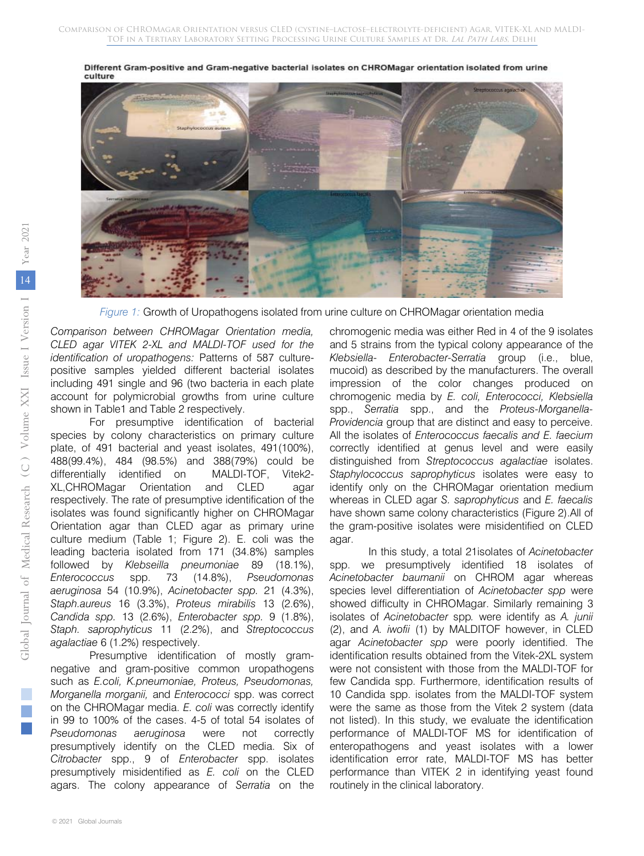

Different Gram-positive and Gram-negative bacterial isolates on CHROMagar orientation isolated from urine culture

*Figure 1:* Growth of Uropathogens isolated from urine culture on CHROMagar orientation media

*Comparison between CHROMagar Orientation media, CLED agar VITEK 2-XL and MALDI-TOF used for the identification of uropathogens:* Patterns of 587 culturepositive samples yielded different bacterial isolates including 491 single and 96 (two bacteria in each plate account for polymicrobial growths from urine culture shown in Table1 and Table 2 respectively.

For presumptive identification of bacterial species by colony characteristics on primary culture plate, of 491 bacterial and yeast isolates, 491(100%), 488(99.4%), 484 (98.5%) and 388(79%) could be differentially identified on MALDI-TOF, Vitek2- XL,CHROMagar Orientation and CLED agar respectively. The rate of presumptive identification of the isolates was found significantly higher on CHROMagar Orientation agar than CLED agar as primary urine culture medium (Table 1; Figure 2). E. coli was the leading bacteria isolated from 171 (34.8%) samples followed by *Klebseilla pneumoniae* 89 (18.1%), *Enterococcus* spp. 73 (14.8%), *Pseudomonas aeruginosa* 54 (10.9%), *Acinetobacter spp.* 21 (4.3%), *Staph.aureus* 16 (3.3%), *Proteus mirabilis* 13 (2.6%), *Candida spp.* 13 (2.6%), *Enterobacter spp.* 9 (1.8%), *Staph. saprophyticus* 11 (2.2%), and *Streptococcus agalactiae* 6 (1.2%) respectively.

Presumptive identification of mostly gramnegative and gram-positive common uropathogens such as *E.coli, K.pneumoniae, Proteus, Pseudomonas, Morganella morganii,* and *Enterococci* spp. was correct on the CHROMagar media. *E. coli* was correctly identify in 99 to 100% of the cases. 4-5 of total 54 isolates of *Pseudomonas aeruginosa* were not correctly presumptively identify on the CLED media. Six of *Citrobacter* spp., 9 of *Enterobacter* spp. isolates presumptively misidentified as *E. coli* on the CLED agars. The colony appearance of *Serratia* on the

chromogenic media was either Red in 4 of the 9 isolates and 5 strains from the typical colony appearance of the *Klebsiella- Enterobacter-Serratia* group (i.e., blue, mucoid) as described by the manufacturers. The overall impression of the color changes produced on chromogenic media by *E. coli, Enterococci, Klebsiella* spp., *Serratia* spp., and the *Proteus-Morganella-Providencia* group that are distinct and easy to perceive. All the isolates of *Enterococcus faecalis and E. faecium* correctly identified at genus level and were easily distinguished from *Streptococcus agalactiae* isolates. *Staphylococcus saprophyticus* isolates were easy to identify only on the CHROMagar orientation medium whereas in CLED agar *S. saprophyticus* and *E. faecalis* have shown same colony characteristics (Figure 2).All of the gram-positive isolates were misidentified on CLED agar.

In this study, a total 21isolates of *Acinetobacter* spp. we presumptively identified 18 isolates of *Acinetobacter baumanii* on CHROM agar whereas species level differentiation of *Acinetobacter spp* were showed difficulty in CHROMagar. Similarly remaining 3 isolates of *Acinetobacter* spp*.* were identify as *A. junii* (2), and *A. iwofii* (1) by MALDITOF however, in CLED agar *Acinetobacter spp* were poorly identified. The identification results obtained from the Vitek-2XL system were not consistent with those from the MALDI-TOF for few Candida spp. Furthermore, identification results of 10 Candida spp. isolates from the MALDI-TOF system were the same as those from the Vitek 2 system (data not listed). In this study, we evaluate the identification performance of MALDI-TOF MS for identification of enteropathogens and yeast isolates with a lower identification error rate, MALDI-TOF MS has better performance than VITEK 2 in identifying yeast found routinely in the clinical laboratory.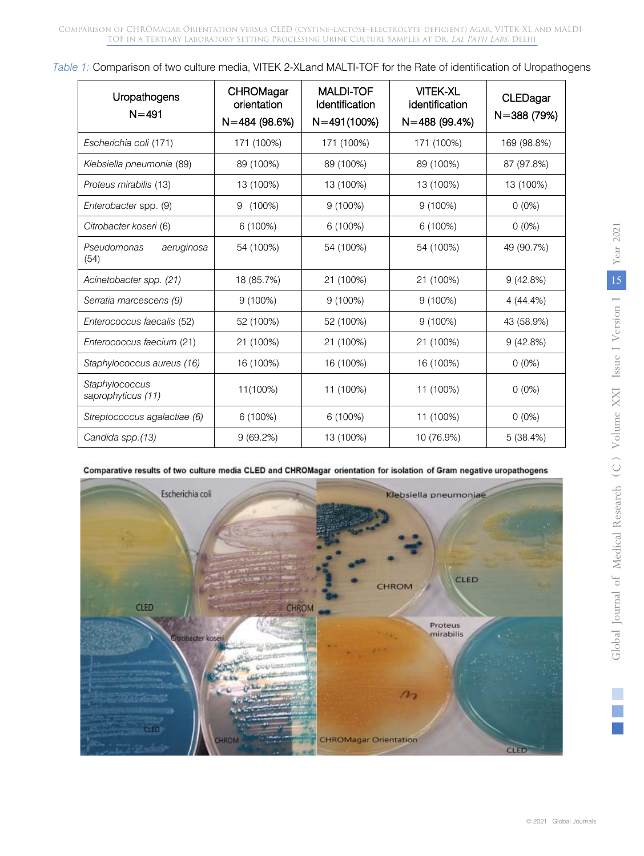Comparison of CHROMagar Orientation versus CLED (cystine–lactose–electrolyte-deficient) Agar, VITEK-XL and MALDI-TOF in a Tertiary Laboratory Setting Processing Urine Culture Samples at Dr. Lal Path Labs, Delhi

|  | Table 1: Comparison of two culture media, VITEK 2-XLand MALTI-TOF for the Rate of identification of Uropathogens |  |  |  |
|--|------------------------------------------------------------------------------------------------------------------|--|--|--|
|  |                                                                                                                  |  |  |  |
|  |                                                                                                                  |  |  |  |

| Uropathogens<br>$N = 491$            | CHROMagar<br>orientation<br>$N = 484(98.6%)$ | <b>MALDI-TOF</b><br>Identification<br>$N = 491(100%)$ | <b>VITEK-XL</b><br>identification<br>$N = 488(99.4%)$ | CLEDagar<br>N=388 (79%) |
|--------------------------------------|----------------------------------------------|-------------------------------------------------------|-------------------------------------------------------|-------------------------|
| Escherichia coli (171)               | 171 (100%)                                   | 171 (100%)                                            | 171 (100%)                                            | 169 (98.8%)             |
| Klebsiella pneumonia (89)            | 89 (100%)                                    | 89 (100%)                                             | 89 (100%)                                             | 87 (97.8%)              |
| Proteus mirabilis (13)               | 13 (100%)                                    | 13 (100%)                                             | 13 (100%)                                             | 13 (100%)               |
| Enterobacter spp. (9)                | $(100\%)$<br>9                               | 9(100%)                                               | 9(100%)                                               | $0(0\%)$                |
| Citrobacter koseri (6)               | 6 (100%)                                     | 6 (100%)                                              | 6 (100%)                                              | $0(0\%)$                |
| Pseudomonas<br>aeruginosa<br>(54)    | 54 (100%)                                    | 54 (100%)                                             | 54 (100%)                                             | 49 (90.7%)              |
| Acinetobacter spp. (21)              | 18 (85.7%)                                   | 21 (100%)                                             | 21 (100%)                                             | 9(42.8%)                |
| Serratia marcescens (9)              | $9(100\%)$                                   | 9(100%)                                               | 9 (100%)                                              | 4(44.4%)                |
| Enterococcus faecalis (52)           | 52 (100%)                                    | 52 (100%)                                             | 9 (100%)                                              | 43 (58.9%)              |
| Enterococcus faecium (21)            | 21 (100%)                                    | 21 (100%)                                             | 21 (100%)                                             | 9(42.8%)                |
| Staphylococcus aureus (16)           | 16 (100%)                                    | 16 (100%)                                             | 16 (100%)                                             | $0(0\%)$                |
| Staphylococcus<br>saprophyticus (11) | 11(100%)                                     | 11 (100%)                                             | 11 (100%)                                             | $0(0\%)$                |
| Streptococcus agalactiae (6)         | 6 (100%)                                     | 6 (100%)                                              | 11 (100%)                                             | $0(0\%)$                |
| Candida spp.(13)                     | 9(69.2%)                                     | 13 (100%)                                             | 10 (76.9%)                                            | 5(38.4%)                |



Comparative results of two culture media CLED and CHROMagar orientation for isolation of Gram negative uropathogens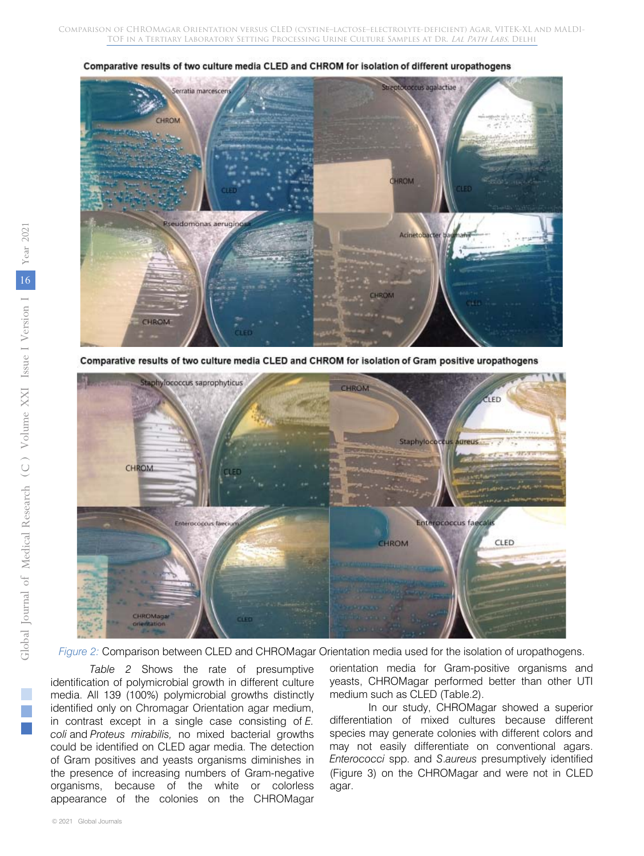

Comparative results of two culture media CLED and CHROM for isolation of different uropathogens

Comparative results of two culture media CLED and CHROM for isolation of Gram positive uropathogens



*Figure 2:* Comparison between CLED and CHROMagar Orientation media used for the isolation of uropathogens.

*Table 2* Shows the rate of presumptive identification of polymicrobial growth in different culture media. All 139 (100%) polymicrobial growths distinctly identified only on Chromagar Orientation agar medium, in contrast except in a single case consisting of *E. coli* and *Proteus mirabilis,* no mixed bacterial growths could be identified on CLED agar media. The detection of Gram positives and yeasts organisms diminishes in the presence of increasing numbers of Gram-negative organisms, because of the white or colorless appearance of the colonies on the CHROMagar

orientation media for Gram-positive organisms and yeasts, CHROMagar performed better than other UTI medium such as CLED (Table.2).

In our study, CHROMagar showed a superior differentiation of mixed cultures because different species may generate colonies with different colors and may not easily differentiate on conventional agars. *Enterococci* spp. and *S*.*aureus* presumptively identified (Figure 3) on the CHROMagar and were not in CLED agar.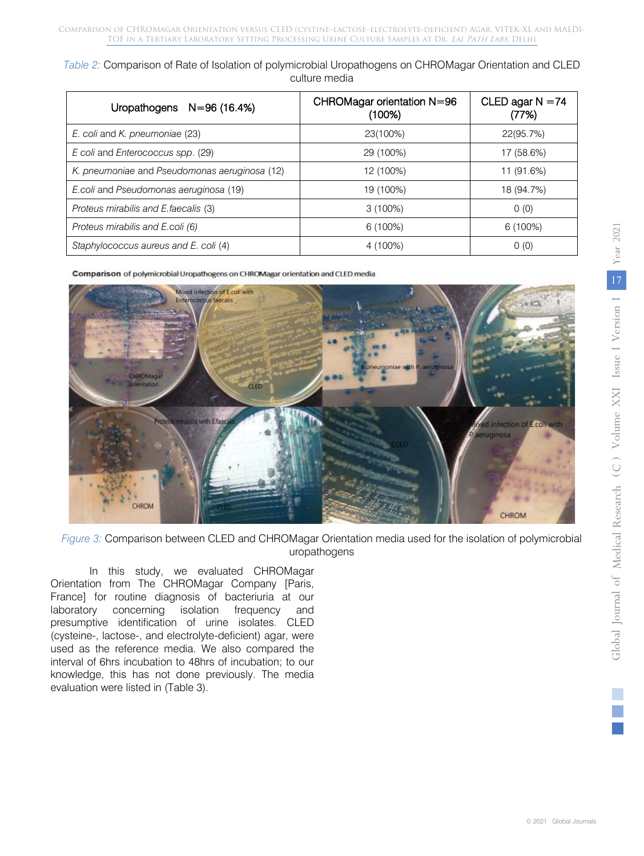*Table 2:* Comparison of Rate of Isolation of polymicrobial Uropathogens on CHROMagar Orientation and CLED culture media

| Uropathogens $N=96(16.4%)$                    | CHROMagar orientation N=96<br>(100%) | CLED agar $N = 74$<br>(77%) |  |
|-----------------------------------------------|--------------------------------------|-----------------------------|--|
| E. coli and K. pneumoniae (23)                | 23(100%)                             | 22(95.7%)                   |  |
| E coli and Enterococcus spp. (29)             | 29 (100%)                            | 17 (58.6%)                  |  |
| K. pneumoniae and Pseudomonas aeruginosa (12) | 12 (100%)                            | 11 (91.6%)                  |  |
| E.coli and Pseudomonas aeruginosa (19)        | 19 (100%)                            | 18 (94.7%)                  |  |
| Proteus mirabilis and E. faecalis (3)         | 3(100%)                              | 0(0)                        |  |
| Proteus mirabilis and E.coli (6)              | $6(100\%)$                           | $6(100\%)$                  |  |
| Staphylococcus aureus and E. coli (4)         | 4 (100%)                             | 0(0)                        |  |

Comparison of polymicrobial Uropathogens on CHROMagar orientation and CLED media



*Figure 3:* Comparison between CLED and CHROMagar Orientation media used for the isolation of polymicrobial uropathogens

In this study, we evaluated CHROMagar Orientation from The CHROMagar Company [Paris, France] for routine diagnosis of bacteriuria at our laboratory concerning isolation frequency and presumptive identification of urine isolates. CLED (cysteine-, lactose-, and electrolyte-deficient) agar, were used as the reference media. We also compared the interval of 6hrs incubation to 48hrs of incubation; to our knowledge, this has not done previously. The media evaluation were listed in (Table 3).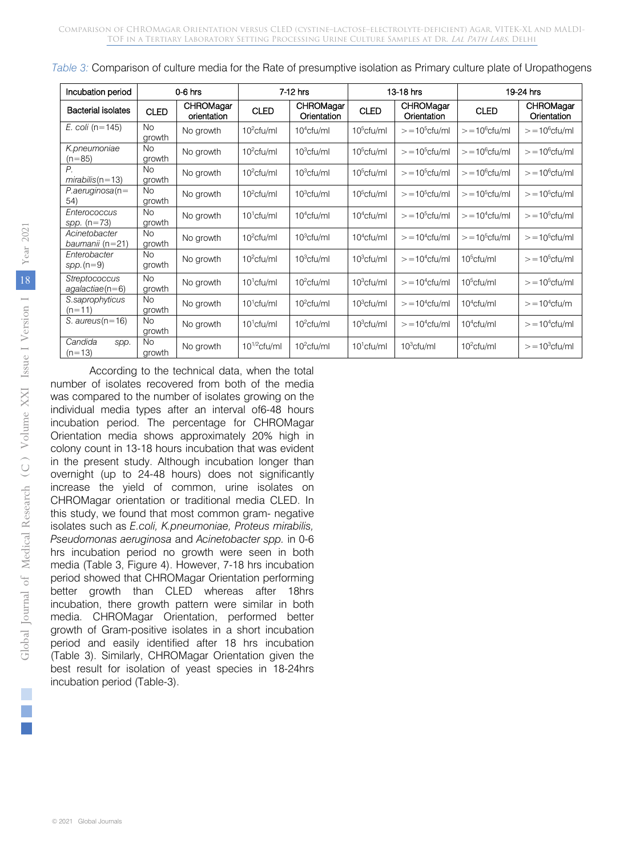| Incubation period                         | $0-6$ hrs           |                          | 7-12 hrs          |                          | 13-18 hrs     |                          | 19-24 hrs         |                          |
|-------------------------------------------|---------------------|--------------------------|-------------------|--------------------------|---------------|--------------------------|-------------------|--------------------------|
| <b>Bacterial isolates</b>                 | <b>CLED</b>         | CHROMagar<br>orientation | <b>CLED</b>       | CHROMagar<br>Orientation | <b>CLED</b>   | CHROMagar<br>Orientation | <b>CLED</b>       | CHROMagar<br>Orientation |
| E. coli ( $n = 145$ )                     | <b>No</b><br>growth | No growth                | $10^2$ cfu/ml     | $104$ cfu/ml             | $10^5$ cfu/ml | $> = 105$ cfu/ml         | $> = 10^6$ cfu/ml | $> = 10^6$ cfu/ml        |
| K.pneumoniae<br>$(n=85)$                  | <b>No</b><br>growth | No growth                | $102$ cfu/ml      | $10^3$ cfu/ml            | $10^5$ cfu/ml | $> = 105$ cfu/ml         | $> = 10^6$ cfu/ml | $> = 10^6$ cfu/ml        |
| $P_{1}$<br>$mirabilis(n=13)$              | <b>No</b><br>growth | No growth                | $10^2$ cfu/ml     | 10 <sup>3</sup> cfu/ml   | $10^5$ cfu/ml | $> = 105$ cfu/ml         | $> = 10^6$ cfu/ml | $> = 10^6$ cfu/ml        |
| $P. aeruginosa(n=$<br>54)                 | <b>No</b><br>growth | No growth                | $10^2$ cfu/ml     | $10^3$ cfu/ml            | $10^5$ cfu/ml | $> = 105$ cfu/ml         | $> = 10^5$ cfu/ml | $> = 10^5$ cfu/ml        |
| Enterococcus<br>spp. $(n=73)$             | <b>No</b><br>growth | No growth                | $101$ cfu/ml      | $104$ cfu/ml             | $104$ cfu/ml  | $> = 105$ cfu/ml         | $> = 104$ cfu/ml  | $> = 10^5$ cfu/ml        |
| Acinetobacter<br>baumanii (n=21)          | <b>No</b><br>growth | No growth                | $102$ cfu/ml      | $10^3$ cfu/ml            | $104$ cfu/ml  | $> = 104$ cfu/ml         | $> = 105$ cfu/ml  | $> = 105$ cfu/ml         |
| Enterobacter<br>$spp.(n=9)$               | <b>No</b><br>growth | No growth                | $10^2$ cfu/ml     | $10^3$ cfu/ml            | $10^3$ cfu/ml | $> = 104$ cfu/ml         | $10^5$ cfu/ml     | $> = 105$ cfu/ml         |
| <b>Streptococcus</b><br>$aqalactic (n=6)$ | <b>No</b><br>growth | No growth                | $101$ cfu/ml      | $102$ cfu/ml             | $10^3$ cfu/ml | $> = 104$ cfu/ml         | $10^5$ cfu/ml     | $> = 105$ cfu/ml         |
| S.saprophyticus<br>$(n=11)$               | <b>No</b><br>growth | No growth                | $10^1$ cfu/ml     | $102$ cfu/ml             | $10^3$ cfu/ml | $> = 104$ cfu/ml         | $104$ cfu/ml      | $> = 104$ cfu/m          |
| S. $aureus(n=16)$                         | <b>No</b><br>growth | No growth                | $101$ cfu/ml      | $102$ cfu/ml             | $10^3$ cfu/ml | $> = 104$ cfu/ml         | $104$ cfu/ml      | $> = 104$ cfu/ml         |
| Candida<br>spp.<br>$(n=13)$               | <b>No</b><br>growth | No growth                | $10^{1/2}$ cfu/ml | $102$ cfu/ml             | $101$ cfu/ml  | $10^3$ cfu/ml            | $102$ cfu/ml      | $> = 103$ cfu/ml         |

*Table 3:* Comparison of culture media for the Rate of presumptive isolation as Primary culture plate of Uropathogens

According to the technical data, when the total number of isolates recovered from both of the media was compared to the number of isolates growing on the individual media types after an interval of6-48 hours incubation period. The percentage for CHROMagar Orientation media shows approximately 20% high in colony count in 13-18 hours incubation that was evident in the present study. Although incubation longer than overnight (up to 24-48 hours) does not significantly increase the yield of common, urine isolates on CHROMagar orientation or traditional media CLED. In this study, we found that most common gram- negative isolates such as *E.coli, K.pneumoniae, Proteus mirabilis, Pseudomonas aeruginosa* and *Acinetobacter spp.* in 0-6 hrs incubation period no growth were seen in both media (Table 3, Figure 4). However, 7-18 hrs incubation period showed that CHROMagar Orientation performing better growth than CLED whereas after 18hrs incubation, there growth pattern were similar in both media. CHROMagar Orientation, performed better growth of Gram-positive isolates in a short incubation period and easily identified after 18 hrs incubation (Table 3). Similarly, CHROMagar Orientation given the best result for isolation of yeast species in 18-24hrs incubation period (Table-3).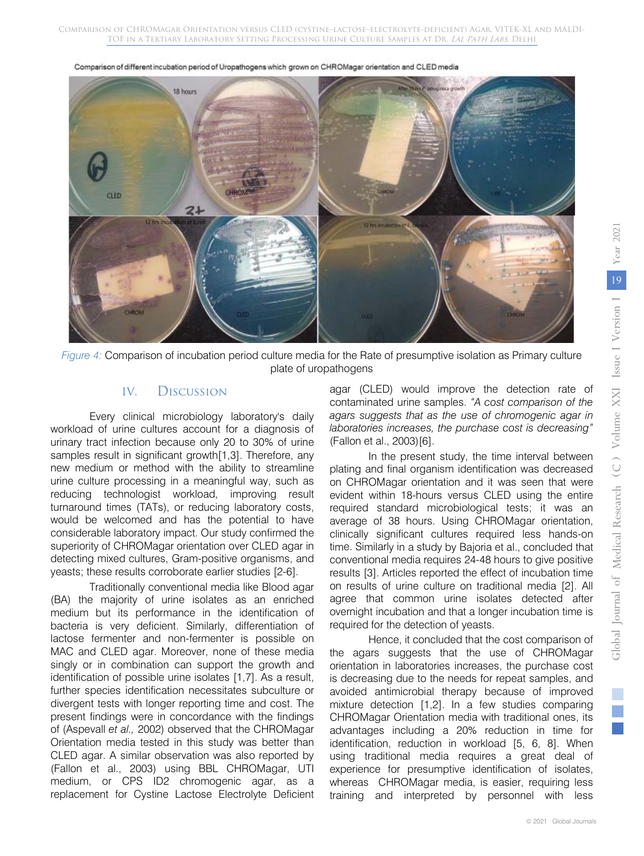Comparison of different incubation period of Uropathogens which grown on CHROMagar orientation and CLED media





### IV. Discussion

Every clinical microbiology laboratory's daily workload of urine cultures account for a diagnosis of urinary tract infection because only 20 to 30% of urine samples result in significant growth[1,3]. Therefore, any new medium or method with the ability to streamline urine culture processing in a meaningful way, such as reducing technologist workload, improving result turnaround times (TATs), or reducing laboratory costs, would be welcomed and has the potential to have considerable laboratory impact. Our study confirmed the superiority of CHROMagar orientation over CLED agar in detecting mixed cultures, Gram-positive organisms, and yeasts; these results corroborate earlier studies [2-6].

Traditionally conventional media like Blood agar (BA) the majority of urine isolates as an enriched medium but its performance in the identification of bacteria is very deficient. Similarly, differentiation of lactose fermenter and non-fermenter is possible on MAC and CLED agar. Moreover, none of these media singly or in combination can support the growth and identification of possible urine isolates [1,7]. As a result, further species identification necessitates subculture or divergent tests with longer reporting time and cost. The present findings were in concordance with the findings of (Aspevall *et al.,* 2002) observed that the CHROMagar Orientation media tested in this study was better than CLED agar. A similar observation was also reported by (Fallon et al., 2003) using BBL CHROMagar, UTI medium, or CPS ID2 chromogenic agar, as a replacement for Cystine Lactose Electrolyte Deficient agar (CLED) would improve the detection rate of contaminated urine samples. *"A cost comparison of the agars suggests that as the use of chromogenic agar in laboratories increases, the purchase cost is decreasing"* (Fallon et al., 2003)[6].

In the present study, the time interval between plating and final organism identification was decreased on CHROMagar orientation and it was seen that were evident within 18-hours versus CLED using the entire required standard microbiological tests; it was an average of 38 hours. Using CHROMagar orientation, clinically significant cultures required less hands-on time. Similarly in a study by Bajoria et al., concluded that conventional media requires 24-48 hours to give positive results [3]. Articles reported the effect of incubation time on results of urine culture on traditional media [2]. All agree that common urine isolates detected after overnight incubation and that a longer incubation time is required for the detection of yeasts.

Hence, it concluded that the cost comparison of the agars suggests that the use of CHROMagar orientation in laboratories increases, the purchase cost is decreasing due to the needs for repeat samples, and avoided antimicrobial therapy because of improved mixture detection [1,2]. In a few studies comparing CHROMagar Orientation media with traditional ones, its advantages including a 20% reduction in time for identification, reduction in workload [5, 6, 8]. When using traditional media requires a great deal of experience for presumptive identification of isolates, whereas CHROMagar media, is easier, requiring less training and interpreted by personnel with less